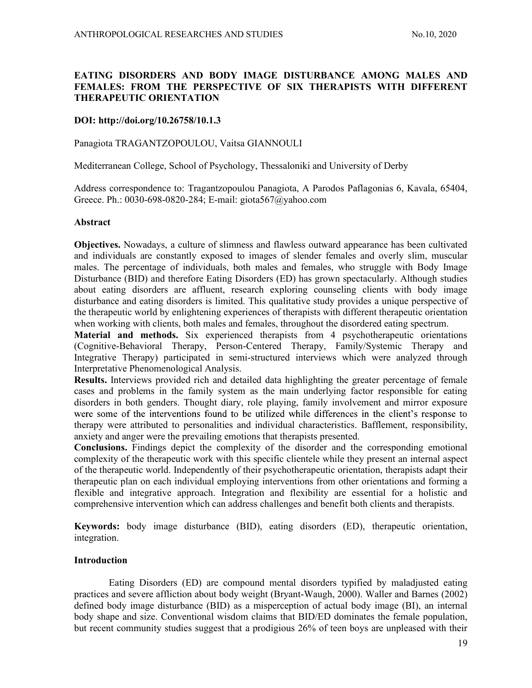# EATING DISORDERS AND BODY IMAGE DISTURBANCE AMONG MALES AND FEMALES: FROM THE PERSPECTIVE OF SIX THERAPISTS WITH DIFFERENT THERAPEUTIC ORIENTATION

# DOI: http://doi.org/10.26758/10.1.3

## Panagiota TRAGANTZOPOULOU, Vaitsa GIANNOULI

Mediterranean College, School of Psychology, Thessaloniki and University of Derby

Address correspondence to: Tragantzopoulou Panagiota, A Parodos Paflagonias 6, Kavala, 65404, Greece. Ph.: 0030-698-0820-284; E-mail: giota567@yahoo.com

#### Abstract

Objectives. Nowadays, a culture of slimness and flawless outward appearance has been cultivated and individuals are constantly exposed to images of slender females and overly slim, muscular males. The percentage of individuals, both males and females, who struggle with Body Image Disturbance (BID) and therefore Eating Disorders (ED) has grown spectacularly. Although studies about eating disorders are affluent, research exploring counseling clients with body image disturbance and eating disorders is limited. This qualitative study provides a unique perspective of the therapeutic world by enlightening experiences of therapists with different therapeutic orientation when working with clients, both males and females, throughout the disordered eating spectrum.

Material and methods. Six experienced therapists from 4 psychotherapeutic orientations (Cognitive-Behavioral Therapy, Person-Centered Therapy, Family/Systemic Therapy and Integrative Therapy) participated in semi-structured interviews which were analyzed through Interpretative Phenomenological Analysis.

Results. Interviews provided rich and detailed data highlighting the greater percentage of female cases and problems in the family system as the main underlying factor responsible for eating disorders in both genders. Thought diary, role playing, family involvement and mirror exposure were some of the interventions found to be utilized while differences in the client's response to therapy were attributed to personalities and individual characteristics. Bafflement, responsibility, anxiety and anger were the prevailing emotions that therapists presented.

Conclusions. Findings depict the complexity of the disorder and the corresponding emotional complexity of the therapeutic work with this specific clientele while they present an internal aspect of the therapeutic world. Independently of their psychotherapeutic orientation, therapists adapt their therapeutic plan on each individual employing interventions from other orientations and forming a flexible and integrative approach. Integration and flexibility are essential for a holistic and comprehensive intervention which can address challenges and benefit both clients and therapists.

Keywords: body image disturbance (BID), eating disorders (ED), therapeutic orientation, integration.

# Introduction

 Eating Disorders (ED) are compound mental disorders typified by maladjusted eating practices and severe affliction about body weight (Bryant-Waugh, 2000). Waller and Barnes (2002) defined body image disturbance (BID) as a misperception of actual body image (BI), an internal body shape and size. Conventional wisdom claims that BID/ED dominates the female population, but recent community studies suggest that a prodigious 26% of teen boys are unpleased with their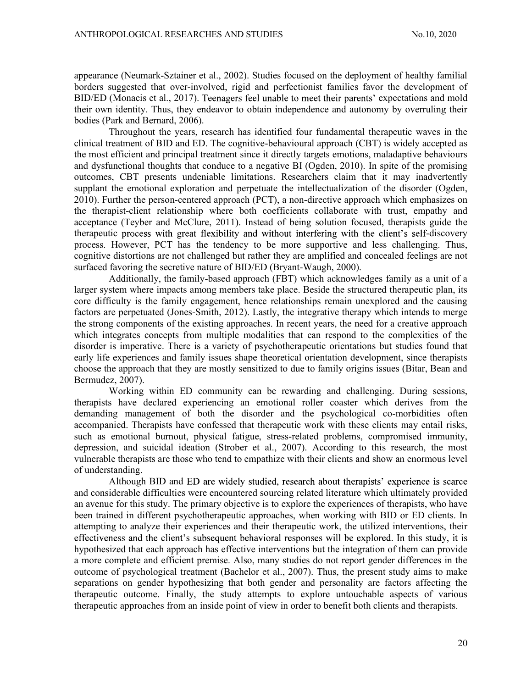appearance (Neumark-Sztainer et al., 2002). Studies focused on the deployment of healthy familial borders suggested that over-involved, rigid and perfectionist families favor the development of BID/ED (Monacis et al., 2017). Teenagers feel unable to meet their parents' expectations and mold their own identity. Thus, they endeavor to obtain independence and autonomy by overruling their bodies (Park and Bernard, 2006).

 Throughout the years, research has identified four fundamental therapeutic waves in the clinical treatment of BID and ED. The cognitive-behavioural approach (CBT) is widely accepted as the most efficient and principal treatment since it directly targets emotions, maladaptive behaviours and dysfunctional thoughts that conduce to a negative BI (Ogden, 2010). In spite of the promising outcomes, CBT presents undeniable limitations. Researchers claim that it may inadvertently supplant the emotional exploration and perpetuate the intellectualization of the disorder (Ogden, 2010). Further the person-centered approach (PCT), a non-directive approach which emphasizes on the therapist-client relationship where both coefficients collaborate with trust, empathy and acceptance (Teyber and McClure, 2011). Instead of being solution focused, therapists guide the therapeutic process with great flexibility and without interfering with the client's self-discovery process. However, PCT has the tendency to be more supportive and less challenging. Thus, cognitive distortions are not challenged but rather they are amplified and concealed feelings are not surfaced favoring the secretive nature of BID/ED (Bryant-Waugh, 2000).

 Additionally, the family-based approach (FBT) which acknowledges family as a unit of a larger system where impacts among members take place. Beside the structured therapeutic plan, its core difficulty is the family engagement, hence relationships remain unexplored and the causing factors are perpetuated (Jones-Smith, 2012). Lastly, the integrative therapy which intends to merge the strong components of the existing approaches. In recent years, the need for a creative approach which integrates concepts from multiple modalities that can respond to the complexities of the disorder is imperative. There is a variety of psychotherapeutic orientations but studies found that early life experiences and family issues shape theoretical orientation development, since therapists choose the approach that they are mostly sensitized to due to family origins issues (Bitar, Bean and Bermudez, 2007).

 Working within ED community can be rewarding and challenging. During sessions, therapists have declared experiencing an emotional roller coaster which derives from the demanding management of both the disorder and the psychological co-morbidities often accompanied. Therapists have confessed that therapeutic work with these clients may entail risks, such as emotional burnout, physical fatigue, stress-related problems, compromised immunity, depression, and suicidal ideation (Strober et al., 2007). According to this research, the most vulnerable therapists are those who tend to empathize with their clients and show an enormous level of understanding.

Although BID and ED are widely studied, research about therapists' experience is scarce and considerable difficulties were encountered sourcing related literature which ultimately provided an avenue for this study. The primary objective is to explore the experiences of therapists, who have been trained in different psychotherapeutic approaches, when working with BID or ED clients. In attempting to analyze their experiences and their therapeutic work, the utilized interventions, their effectiveness and the client's subsequent behavioral responses will be explored. In this study, it is hypothesized that each approach has effective interventions but the integration of them can provide a more complete and efficient premise. Also, many studies do not report gender differences in the outcome of psychological treatment (Bachelor et al., 2007). Thus, the present study aims to make separations on gender hypothesizing that both gender and personality are factors affecting the therapeutic outcome. Finally, the study attempts to explore untouchable aspects of various therapeutic approaches from an inside point of view in order to benefit both clients and therapists.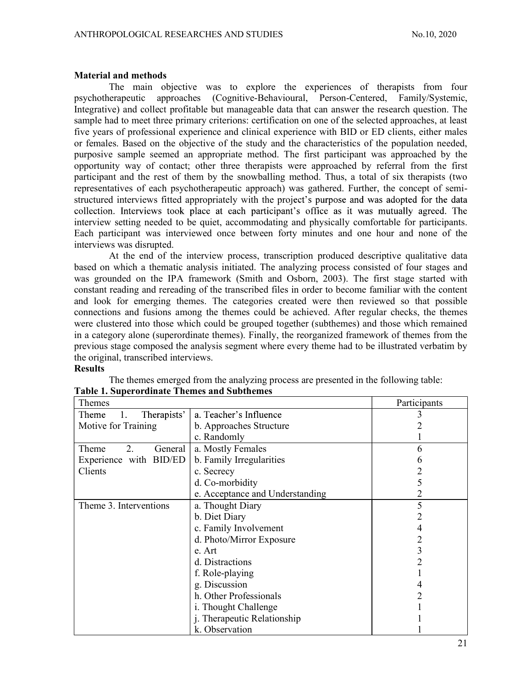Table 1. Superordinate Themes and Subthemes

### Material and methods

The main objective was to explore the experiences of therapists from four psychotherapeutic approaches (Cognitive-Behavioural, Person-Centered, Family/Systemic, Integrative) and collect profitable but manageable data that can answer the research question. The sample had to meet three primary criterions: certification on one of the selected approaches, at least five years of professional experience and clinical experience with BID or ED clients, either males or females. Based on the objective of the study and the characteristics of the population needed, purposive sample seemed an appropriate method. The first participant was approached by the opportunity way of contact; other three therapists were approached by referral from the first participant and the rest of them by the snowballing method. Thus, a total of six therapists (two representatives of each psychotherapeutic approach) was gathered. Further, the concept of semistructured interviews fitted appropriately with the project's purpose and was adopted for the data collection. Interviews took place at each participant's office as it was mutually agreed. The interview setting needed to be quiet, accommodating and physically comfortable for participants. Each participant was interviewed once between forty minutes and one hour and none of the interviews was disrupted.

At the end of the interview process, transcription produced descriptive qualitative data based on which a thematic analysis initiated. The analyzing process consisted of four stages and was grounded on the IPA framework (Smith and Osborn, 2003). The first stage started with constant reading and rereading of the transcribed files in order to become familiar with the content and look for emerging themes. The categories created were then reviewed so that possible connections and fusions among the themes could be achieved. After regular checks, the themes were clustered into those which could be grouped together (subthemes) and those which remained in a category alone (superordinate themes). Finally, the reorganized framework of themes from the previous stage composed the analysis segment where every theme had to be illustrated verbatim by the original, transcribed interviews.

#### Results

| Themes                 |                                 | Participants |
|------------------------|---------------------------------|--------------|
| Therapists'<br>Theme   | a. Teacher's Influence          |              |
| Motive for Training    | b. Approaches Structure         |              |
|                        | c. Randomly                     |              |
| 2.<br>Theme<br>General | a. Mostly Females               | n            |
| Experience with BID/ED | b. Family Irregularities        |              |
| Clients                | c. Secrecy                      |              |
|                        | d. Co-morbidity                 |              |
|                        | e. Acceptance and Understanding |              |
| Theme 3. Interventions | a. Thought Diary                |              |
|                        | b. Diet Diary                   |              |
|                        | c. Family Involvement           |              |
|                        | d. Photo/Mirror Exposure        |              |
|                        | e. Art                          |              |
|                        | d. Distractions                 |              |
|                        | f. Role-playing                 |              |
|                        | g. Discussion                   |              |
|                        | h. Other Professionals          |              |
|                        | i. Thought Challenge            |              |
|                        | j. Therapeutic Relationship     |              |
|                        | k. Observation                  |              |

The themes emerged from the analyzing process are presented in the following table: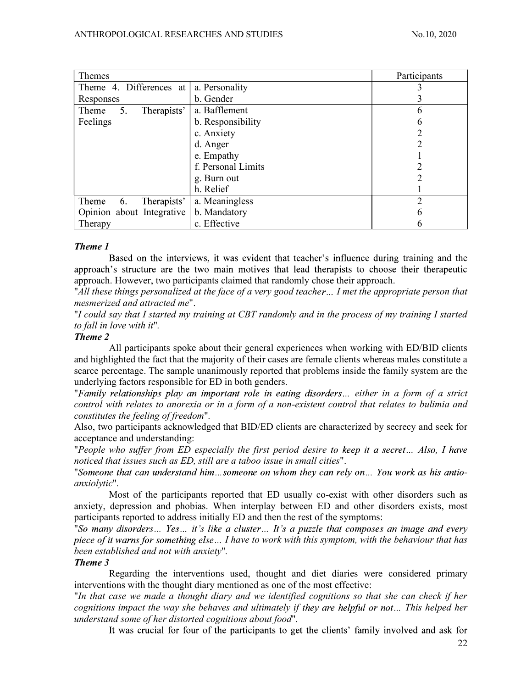| Themes                     |                    | Participants |
|----------------------------|--------------------|--------------|
| Theme 4. Differences at    | a. Personality     |              |
| Responses                  | b. Gender          |              |
| Therapists'<br>Theme<br>5. | a. Bafflement      | h            |
| Feelings                   | b. Responsibility  |              |
|                            | c. Anxiety         |              |
|                            | d. Anger           |              |
|                            | e. Empathy         |              |
|                            | f. Personal Limits |              |
|                            | g. Burn out        |              |
|                            | h. Relief          |              |
| Therapists'<br>Theme<br>6. | a. Meaningless     |              |
| Opinion about Integrative  | b. Mandatory       | h            |
| Therapy                    | c. Effective       | h            |

# Theme 1

Based on the interviews, it was evident that teacher's influence during training and the approach's structure are the two main motives that lead therapists to choose their therapeutic approach. However, two participants claimed that randomly chose their approach.<br>"All these things personalized at the face of a very good teacher ... I met the appropriate person that

mesmerized and attracted me".<br>"I could say that I started my training at CBT randomly and in the process of my training I started

to fall in love with it".

# Theme 2

All participants spoke about their general experiences when working with ED/BID clients and highlighted the fact that the majority of their cases are female clients whereas males constitute a scarce percentage. The sample unanimously reported that problems inside the family system are the underlying factors responsible for ED in both genders.<br>"Family relationships play an important role in eating disorders... either in a form of a strict

control with relates to anorexia or in a form of a non-existent control that relates to bulimia and constitutes the feeling of freedom".

Also, two participants acknowledged that BID/ED clients are characterized by secrecy and seek for acceptance and understanding:<br>"People who suffer from ED especially the first period desire to keep it a secret... Also, I have

noticed that issues such as ED, still are a taboo issue in small cities".

"Someone that can understand him...someone on whom they can rely on... You work as his antioanxiolytic".

Most of the participants reported that ED usually co-exist with other disorders such as anxiety, depression and phobias. When interplay between ED and other disorders exists, most participants reported to address initially ED and then the rest of the symptoms:<br>"So many disorders... Yes... it's like a cluster... It's a puzzle that composes an image and every

piece of it warns for something else... I have to work with this symptom, with the behaviour that has been established and not with anxiety".

#### Theme 3

Regarding the interventions used, thought and diet diaries were considered primary interventions with the thought diary mentioned as one of the most effective:

"In that case we made a thought diary and we identified cognitions so that she can check if her cognitions impact the way she behaves and ultimately if they are helpful or not... This helped her understand some of her distorted cognitions about food".

It was crucial for four of the participants to get the clients' family involved and ask for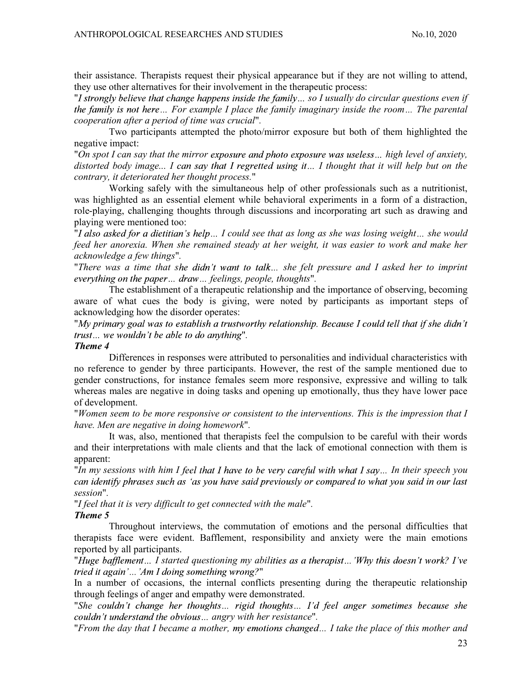their assistance. Therapists request their physical appearance but if they are not willing to attend, they use other alternatives for their involvement in the therapeutic process:

"I strongly believe that change happens inside the family... so I usually do circular questions even if the family is not here... For example I place the family imaginary inside the room... The parental cooperation after a period of time was crucial".

Two participants attempted the photo/mirror exposure but both of them highlighted the negative impact:

"On spot I can say that the mirror exposure and photo exposure was useless... high level of anxiety, distorted body image... I can say that I regretted using it... I thought that it will help but on the contrary, it deteriorated her thought process."

Working safely with the simultaneous help of other professionals such as a nutritionist, was highlighted as an essential element while behavioral experiments in a form of a distraction, role-playing, challenging thoughts through discussions and incorporating art such as drawing and playing were mentioned too:<br>"I also asked for a dietitian's help... I could see that as long as she was losing weight... she would

feed her anorexia. When she remained steady at her weight, it was easier to work and make her acknowledge a few things".

"There was a time that she didn't want to talk... she felt pressure and I asked her to imprint everything on the paper... draw... feelings, people, thoughts".

The establishment of a therapeutic relationship and the importance of observing, becoming aware of what cues the body is giving, were noted by participants as important steps of acknowledging how the disorder operates:

"My primary goal was to establish a trustworthy relationship. Because I could tell that if she didn't trust... we wouldn't be able to do anything".

### Theme 4

Differences in responses were attributed to personalities and individual characteristics with no reference to gender by three participants. However, the rest of the sample mentioned due to gender constructions, for instance females seem more responsive, expressive and willing to talk whereas males are negative in doing tasks and opening up emotionally, thus they have lower pace of development.<br>"Women seem to be more responsive or consistent to the interventions. This is the impression that I

have. Men are negative in doing homework".

It was, also, mentioned that therapists feel the compulsion to be careful with their words and their interpretations with male clients and that the lack of emotional connection with them is apparent:

"In my sessions with him I feel that I have to be very careful with what I say... In their speech you can identify phrases such as 'as you have said previously or compared to what you said in our last session".

"I feel that it is very difficult to get connected with the male".

## Theme 5

Throughout interviews, the commutation of emotions and the personal difficulties that therapists face were evident. Bafflement, responsibility and anxiety were the main emotions reported by all participants.<br>"Huge bafflement... I started questioning my abilities as a therapist... 'Why this doesn't work? I've

"

In a number of occasions, the internal conflicts presenting during the therapeutic relationship through feelings of anger and empathy were demonstrated.<br>"She couldn't change her thoughts... rigid thoughts... I'd feel anger sometimes because she

couldn't understand the obvious... angry with her resistance".

"From the day that I became a mother, my emotions changed... I take the place of this mother and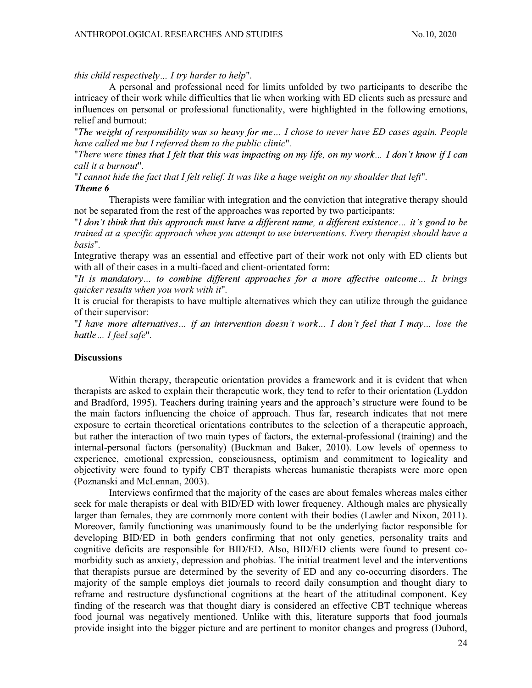this child respectively... I try harder to help".

A personal and professional need for limits unfolded by two participants to describe the intricacy of their work while difficulties that lie when working with ED clients such as pressure and influences on personal or professional functionality, were highlighted in the following emotions, relief and burnout:

"The weight of responsibility was so heavy for me... I chose to never have ED cases again. People have called me but I referred them to the public clinic".

"There were times that I felt that this was impacting on my life, on my work... I don't know if I can call it a burnout".

"I cannot hide the fact that I felt relief. It was like a huge weight on my shoulder that left". Theme 6

Therapists were familiar with integration and the conviction that integrative therapy should not be separated from the rest of the approaches was reported by two participants:

"I don't think that this approach must have a different name, a different existence... it's good to be trained at a specific approach when you attempt to use interventions. Every therapist should have a basis".

Integrative therapy was an essential and effective part of their work not only with ED clients but with all of their cases in a multi-faced and client-orientated form:

"It is mandatory... to combine different approaches for a more affective outcome... It brings quicker results when you work with it".

It is crucial for therapists to have multiple alternatives which they can utilize through the guidance of their supervisor:<br>"I have more alternatives... if an intervention doesn't work... I don't feel that I may... lose the

battle ... I feel safe".

#### **Discussions**

Within therapy, therapeutic orientation provides a framework and it is evident that when therapists are asked to explain their therapeutic work, they tend to refer to their orientation (Lyddon and Bradford, 1995). Teachers during training years and the approach's structure were found to be the main factors influencing the choice of approach. Thus far, research indicates that not mere exposure to certain theoretical orientations contributes to the selection of a therapeutic approach, but rather the interaction of two main types of factors, the external-professional (training) and the internal-personal factors (personality) (Buckman and Baker, 2010). Low levels of openness to experience, emotional expression, consciousness, optimism and commitment to logicality and objectivity were found to typify CBT therapists whereas humanistic therapists were more open (Poznanski and McLennan, 2003).

Interviews confirmed that the majority of the cases are about females whereas males either seek for male therapists or deal with BID/ED with lower frequency. Although males are physically larger than females, they are commonly more content with their bodies (Lawler and Nixon, 2011). Moreover, family functioning was unanimously found to be the underlying factor responsible for developing BID/ED in both genders confirming that not only genetics, personality traits and cognitive deficits are responsible for BID/ED. Also, BID/ED clients were found to present comorbidity such as anxiety, depression and phobias. The initial treatment level and the interventions that therapists pursue are determined by the severity of ED and any co-occurring disorders. The majority of the sample employs diet journals to record daily consumption and thought diary to reframe and restructure dysfunctional cognitions at the heart of the attitudinal component. Key finding of the research was that thought diary is considered an effective CBT technique whereas food journal was negatively mentioned. Unlike with this, literature supports that food journals provide insight into the bigger picture and are pertinent to monitor changes and progress (Dubord,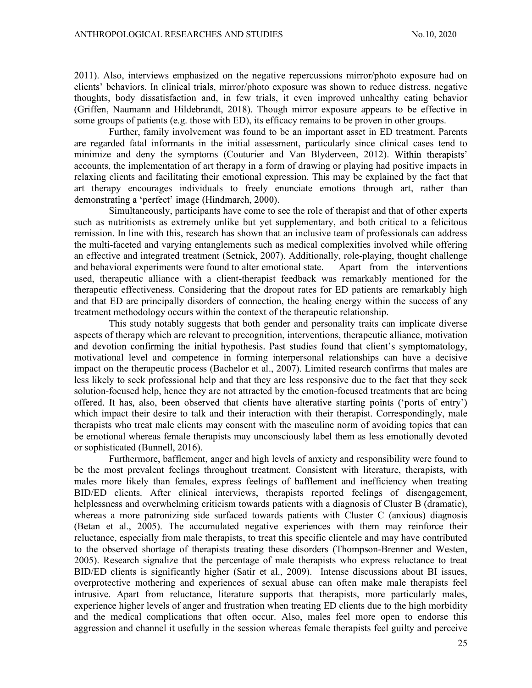2011). Also, interviews emphasized on the negative repercussions mirror/photo exposure had on clients' behaviors. In clinical trials, mirror/photo exposure was shown to reduce distress, negative thoughts, body dissatisfaction and, in few trials, it even improved unhealthy eating behavior (Griffen, Naumann and Hildebrandt, 2018). Though mirror exposure appears to be effective in some groups of patients (e.g. those with ED), its efficacy remains to be proven in other groups.

Further, family involvement was found to be an important asset in ED treatment. Parents are regarded fatal informants in the initial assessment, particularly since clinical cases tend to minimize and deny the symptoms (Couturier and Van Blyderveen, 2012). Within therapists' accounts, the implementation of art therapy in a form of drawing or playing had positive impacts in relaxing clients and facilitating their emotional expression. This may be explained by the fact that art therapy encourages individuals to freely enunciate emotions through art, rather than demonstrating a 'perfect' image (Hindmarch, 2000).

Simultaneously, participants have come to see the role of therapist and that of other experts such as nutritionists as extremely unlike but yet supplementary, and both critical to a felicitous remission. In line with this, research has shown that an inclusive team of professionals can address the multi-faceted and varying entanglements such as medical complexities involved while offering an effective and integrated treatment (Setnick, 2007). Additionally, role-playing, thought challenge and behavioral experiments were found to alter emotional state. Apart from the interventions used, therapeutic alliance with a client-therapist feedback was remarkably mentioned for the therapeutic effectiveness. Considering that the dropout rates for ED patients are remarkably high and that ED are principally disorders of connection, the healing energy within the success of any treatment methodology occurs within the context of the therapeutic relationship.

This study notably suggests that both gender and personality traits can implicate diverse aspects of therapy which are relevant to precognition, interventions, therapeutic alliance, motivation and devotion confirming the initial hypothesis. Past studies found that client's symptomatology, motivational level and competence in forming interpersonal relationships can have a decisive impact on the therapeutic process (Bachelor et al., 2007). Limited research confirms that males are less likely to seek professional help and that they are less responsive due to the fact that they seek solution-focused help, hence they are not attracted by the emotion-focused treatments that are being<br>offered. It has, also, been observed that clients have alterative starting points ('ports of entry') which impact their desire to talk and their interaction with their therapist. Correspondingly, male therapists who treat male clients may consent with the masculine norm of avoiding topics that can be emotional whereas female therapists may unconsciously label them as less emotionally devoted or sophisticated (Bunnell, 2016).

Furthermore, bafflement, anger and high levels of anxiety and responsibility were found to be the most prevalent feelings throughout treatment. Consistent with literature, therapists, with males more likely than females, express feelings of bafflement and inefficiency when treating BID/ED clients. After clinical interviews, therapists reported feelings of disengagement, helplessness and overwhelming criticism towards patients with a diagnosis of Cluster B (dramatic), whereas a more patronizing side surfaced towards patients with Cluster C (anxious) diagnosis (Betan et al., 2005). The accumulated negative experiences with them may reinforce their reluctance, especially from male therapists, to treat this specific clientele and may have contributed to the observed shortage of therapists treating these disorders (Thompson-Brenner and Westen, 2005). Research signalize that the percentage of male therapists who express reluctance to treat BID/ED clients is significantly higher (Satir et al., 2009). Intense discussions about BI issues, overprotective mothering and experiences of sexual abuse can often make male therapists feel intrusive. Apart from reluctance, literature supports that therapists, more particularly males, experience higher levels of anger and frustration when treating ED clients due to the high morbidity and the medical complications that often occur. Also, males feel more open to endorse this aggression and channel it usefully in the session whereas female therapists feel guilty and perceive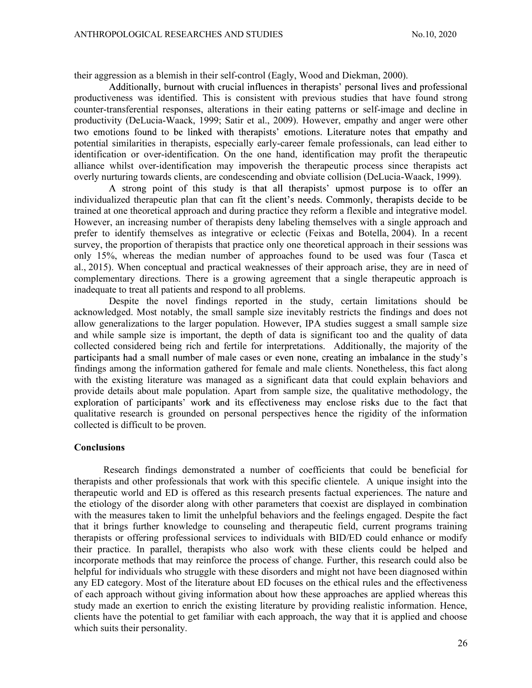their aggression as a blemish in their self-control (Eagly, Wood and Diekman, 2000). productiveness was identified. This is consistent with previous studies that have found strong counter-transferential responses, alterations in their eating patterns or self-image and decline in productivity (DeLucia-Waack, 1999; Satir et al., 2009). However, empathy and anger were other two emotions found to be linked with therapists' emotions. Literature notes that empathy and potential similarities in therapists, especially early-career female professionals, can lead either to identification or over-identification. On the one hand, identification may profit the therapeutic alliance whilst over-identification may impoverish the therapeutic process since therapists act overly nurturing towards clients, are condescending and obviate collision (DeLucia-Waack, 1999).<br>A strong point of this study is that all therapists' upmost purpose is to offer an

individualized therapeutic plan that can fit the client's needs. Commonly, therapists decide to be trained at one theoretical approach and during practice they reform a flexible and integrative model. However, an increasing number of therapists deny labeling themselves with a single approach and prefer to identify themselves as integrative or eclectic (Feixas and Botella, 2004). In a recent survey, the proportion of therapists that practice only one theoretical approach in their sessions was only 15%, whereas the median number of approaches found to be used was four (Tasca et al., 2015). When conceptual and practical weaknesses of their approach arise, they are in need of complementary directions. There is a growing agreement that a single therapeutic approach is inadequate to treat all patients and respond to all problems.

Despite the novel findings reported in the study, certain limitations should be acknowledged. Most notably, the small sample size inevitably restricts the findings and does not allow generalizations to the larger population. However, IPA studies suggest a small sample size and while sample size is important, the depth of data is significant too and the quality of data collected considered being rich and fertile for interpretations. Additionally, the majority of the participants had a small number of male cases or even none, creating an imbalance in the study's findings among the information gathered for female and male clients. Nonetheless, this fact along with the existing literature was managed as a significant data that could explain behaviors and provide details about male population. Apart from sample size, the qualitative methodology, the exploration of participants' work and its effectiveness may enclose risks due to the fact that qualitative research is grounded on personal perspectives hence the rigidity of the information collected is difficult to be proven.

#### Conclusions

Research findings demonstrated a number of coefficients that could be beneficial for therapists and other professionals that work with this specific clientele. A unique insight into the therapeutic world and ED is offered as this research presents factual experiences. The nature and the etiology of the disorder along with other parameters that coexist are displayed in combination with the measures taken to limit the unhelpful behaviors and the feelings engaged. Despite the fact that it brings further knowledge to counseling and therapeutic field, current programs training therapists or offering professional services to individuals with BID/ED could enhance or modify their practice. In parallel, therapists who also work with these clients could be helped and incorporate methods that may reinforce the process of change. Further, this research could also be helpful for individuals who struggle with these disorders and might not have been diagnosed within any ED category. Most of the literature about ED focuses on the ethical rules and the effectiveness of each approach without giving information about how these approaches are applied whereas this study made an exertion to enrich the existing literature by providing realistic information. Hence, clients have the potential to get familiar with each approach, the way that it is applied and choose which suits their personality.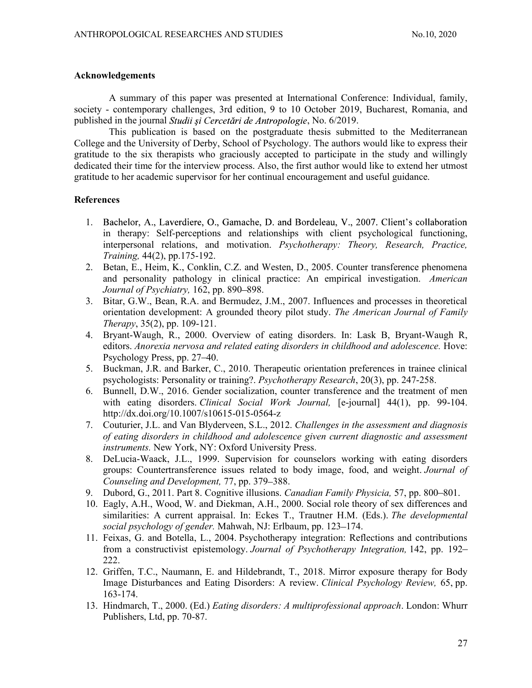## Acknowledgements

A summary of this paper was presented at International Conference: Individual, family, society - contemporary challenges, 3rd edition, 9 to 10 October 2019, Bucharest, Romania, and published in the journal *Studii și Cercetări de Antropologie*, No. 6/2019.

This publication is based on the postgraduate thesis submitted to the Mediterranean College and the University of Derby, School of Psychology. The authors would like to express their gratitude to the six therapists who graciously accepted to participate in the study and willingly dedicated their time for the interview process. Also, the first author would like to extend her utmost gratitude to her academic supervisor for her continual encouragement and useful guidance.

# **References**

- 1. Bachelor, A., Laverdiere, O., Gamache, D. and Bordeleau, V., 2007. Client's collaboration in therapy: Self-perceptions and relationships with client psychological functioning, interpersonal relations, and motivation. Psychotherapy: Theory, Research, Practice, Training, 44(2), pp.175-192.
- 2. Betan, E., Heim, K., Conklin, C.Z. and Westen, D., 2005. Counter transference phenomena and personality pathology in clinical practice: An empirical investigation. American Journal of Psychiatry, 162, pp. 890–898.
- 3. Bitar, G.W., Bean, R.A. and Bermudez, J.M., 2007. Influences and processes in theoretical orientation development: A grounded theory pilot study. The American Journal of Family Therapy, 35(2), pp. 109-121.
- 4. Bryant-Waugh, R., 2000. Overview of eating disorders. In: Lask B, Bryant-Waugh R, editors. Anorexia nervosa and related eating disorders in childhood and adolescence. Hove: Psychology Press, pp. 27–40.
- 5. Buckman, J.R. and Barker, C., 2010. Therapeutic orientation preferences in trainee clinical psychologists: Personality or training?. Psychotherapy Research, 20(3), pp. 247-258.
- 6. Bunnell, D.W., 2016. Gender socialization, counter transference and the treatment of men with eating disorders. *Clinical Social Work Journal*, [e-journal] 44(1), pp. 99-104. http://dx.doi.org/10.1007/s10615-015-0564-z
- 7. Couturier, J.L. and Van Blyderveen, S.L., 2012. Challenges in the assessment and diagnosis of eating disorders in childhood and adolescence given current diagnostic and assessment instruments. New York, NY: Oxford University Press.
- 8. DeLucia-Waack, J.L., 1999. Supervision for counselors working with eating disorders groups: Countertransference issues related to body image, food, and weight. Journal of Counseling and Development, 77, pp. 379–388.
- 9. Dubord, G., 2011. Part 8. Cognitive illusions. Canadian Family Physicia, 57, pp. 800–801.
- 10. Eagly, A.H., Wood, W. and Diekman, A.H., 2000. Social role theory of sex differences and similarities: A current appraisal. In: Eckes T., Trautner H.M. (Eds.). The developmental social psychology of gender. Mahwah, NJ: Erlbaum, pp. 123–174.
- 11. Feixas, G. and Botella, L., 2004. Psychotherapy integration: Reflections and contributions from a constructivist epistemology. Journal of Psychotherapy Integration, 142, pp. 192-222.
- 12. Griffen, T.C., Naumann, E. and Hildebrandt, T., 2018. Mirror exposure therapy for Body Image Disturbances and Eating Disorders: A review. Clinical Psychology Review, 65, pp. 163-174.
- 13. Hindmarch, T., 2000. (Ed.) Eating disorders: A multiprofessional approach. London: Whurr Publishers, Ltd, pp. 70-87.